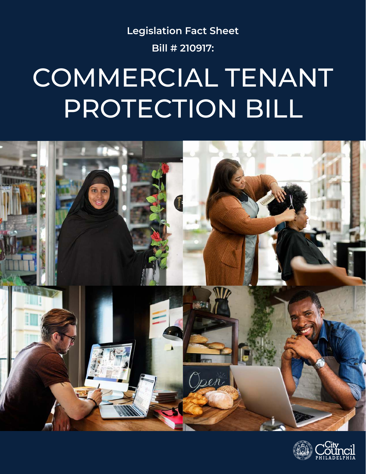**Legislation Fact Sheet Bill # 210917:**

## COMMERCIAL TENANT PROTECTION BILL



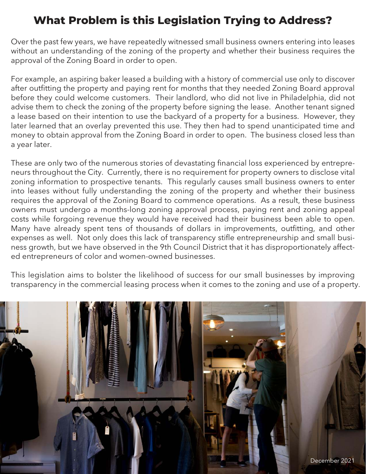## **What Problem is this Legislation Trying to Address?**

Over the past few years, we have repeatedly witnessed small business owners entering into leases without an understanding of the zoning of the property and whether their business requires the approval of the Zoning Board in order to open.

For example, an aspiring baker leased a building with a history of commercial use only to discover after outfitting the property and paying rent for months that they needed Zoning Board approval before they could welcome customers. Their landlord, who did not live in Philadelphia, did not advise them to check the zoning of the property before signing the lease. Another tenant signed a lease based on their intention to use the backyard of a property for a business. However, they later learned that an overlay prevented this use. They then had to spend unanticipated time and money to obtain approval from the Zoning Board in order to open. The business closed less than a year later.

These are only two of the numerous stories of devastating financial loss experienced by entrepreneurs throughout the City. Currently, there is no requirement for property owners to disclose vital zoning information to prospective tenants. This regularly causes small business owners to enter into leases without fully understanding the zoning of the property and whether their business requires the approval of the Zoning Board to commence operations. As a result, these business owners must undergo a months-long zoning approval process, paying rent and zoning appeal costs while forgoing revenue they would have received had their business been able to open. Many have already spent tens of thousands of dollars in improvements, outfitting, and other expenses as well. Not only does this lack of transparency stifle entrepreneurship and small business growth, but we have observed in the 9th Council District that it has disproportionately affected entrepreneurs of color and women-owned businesses.

This legislation aims to bolster the likelihood of success for our small businesses by improving transparency in the commercial leasing process when it comes to the zoning and use of a property.

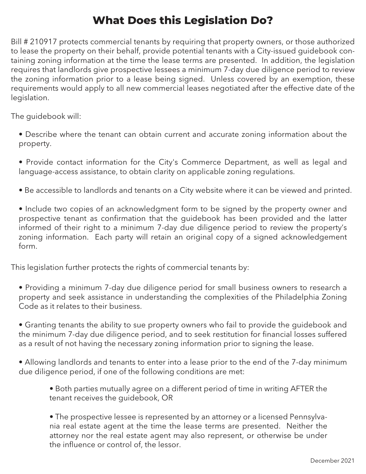## **What Does this Legislation Do?**

Bill # 210917 protects commercial tenants by requiring that property owners, or those authorized to lease the property on their behalf, provide potential tenants with a City-issued guidebook containing zoning information at the time the lease terms are presented. In addition, the legislation requires that landlords give prospective lessees a minimum 7-day due diligence period to review the zoning information prior to a lease being signed. Unless covered by an exemption, these requirements would apply to all new commercial leases negotiated after the effective date of the legislation.

The guidebook will:

- Describe where the tenant can obtain current and accurate zoning information about the property.
- Provide contact information for the City's Commerce Department, as well as legal and language-access assistance, to obtain clarity on applicable zoning regulations.
- Be accessible to landlords and tenants on a City website where it can be viewed and printed.
- Include two copies of an acknowledgment form to be signed by the property owner and prospective tenant as confirmation that the guidebook has been provided and the latter informed of their right to a minimum 7-day due diligence period to review the property's zoning information. Each party will retain an original copy of a signed acknowledgement form.

This legislation further protects the rights of commercial tenants by:

- Providing a minimum 7-day due diligence period for small business owners to research a property and seek assistance in understanding the complexities of the Philadelphia Zoning Code as it relates to their business.
- Granting tenants the ability to sue property owners who fail to provide the guidebook and the minimum 7-day due diligence period, and to seek restitution for financial losses suffered as a result of not having the necessary zoning information prior to signing the lease.
- Allowing landlords and tenants to enter into a lease prior to the end of the 7-day minimum due diligence period, if one of the following conditions are met:
	- Both parties mutually agree on a different period of time in writing AFTER the tenant receives the guidebook, OR

• The prospective lessee is represented by an attorney or a licensed Pennsylvania real estate agent at the time the lease terms are presented. Neither the attorney nor the real estate agent may also represent, or otherwise be under the influence or control of, the lessor.